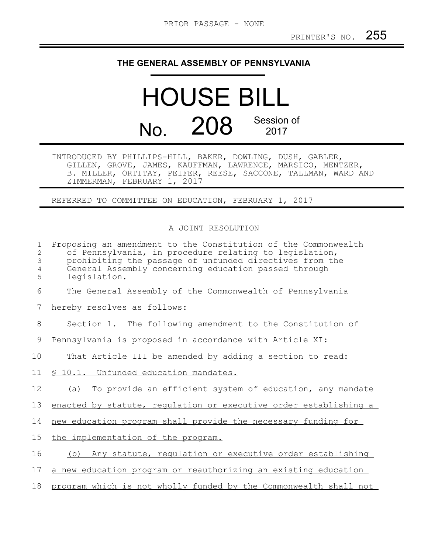## **THE GENERAL ASSEMBLY OF PENNSYLVANIA**

HOUSE BILL No. 208 Session of 2017

INTRODUCED BY PHILLIPS-HILL, BAKER, DOWLING, DUSH, GABLER, GILLEN, GROVE, JAMES, KAUFFMAN, LAWRENCE, MARSICO, MENTZER, B. MILLER, ORTITAY, PEIFER, REESE, SACCONE, TALLMAN, WARD AND ZIMMERMAN, FEBRUARY 1, 2017

REFERRED TO COMMITTEE ON EDUCATION, FEBRUARY 1, 2017

## A JOINT RESOLUTION

| $\mathbf{1}$<br>2<br>3<br>4<br>5 | Proposing an amendment to the Constitution of the Commonwealth<br>of Pennsylvania, in procedure relating to legislation,<br>prohibiting the passage of unfunded directives from the<br>General Assembly concerning education passed through<br>legislation. |
|----------------------------------|-------------------------------------------------------------------------------------------------------------------------------------------------------------------------------------------------------------------------------------------------------------|
| 6                                | The General Assembly of the Commonwealth of Pennsylvania                                                                                                                                                                                                    |
| 7                                | hereby resolves as follows:                                                                                                                                                                                                                                 |
| 8                                | Section 1. The following amendment to the Constitution of                                                                                                                                                                                                   |
| $\overline{9}$                   | Pennsylvania is proposed in accordance with Article XI:                                                                                                                                                                                                     |
| 10                               | That Article III be amended by adding a section to read:                                                                                                                                                                                                    |
| 11                               | § 10.1. Unfunded education mandates.                                                                                                                                                                                                                        |
| 12                               | To provide an efficient system of education, any mandate<br>(a)                                                                                                                                                                                             |
| 13                               | enacted by statute, requlation or executive order establishing a                                                                                                                                                                                            |
| 14                               | new education program shall provide the necessary funding for                                                                                                                                                                                               |
| 15                               | the implementation of the program.                                                                                                                                                                                                                          |
| 16                               | Any statute, regulation or executive order establishing<br>(b)                                                                                                                                                                                              |
| 17                               | a new education program or reauthorizing an existing education                                                                                                                                                                                              |
| 18                               | program which is not wholly funded by the Commonwealth shall not                                                                                                                                                                                            |
|                                  |                                                                                                                                                                                                                                                             |